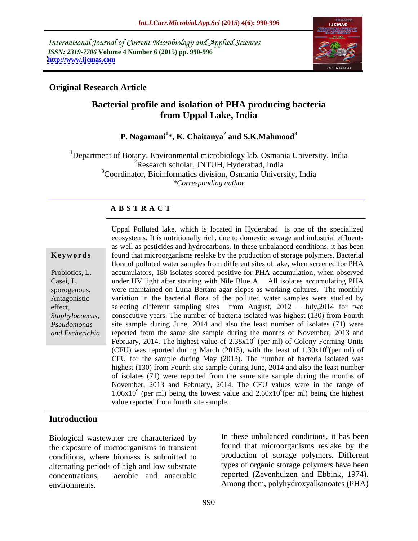International Journal of Current Microbiology and Applied Sciences *ISSN: 2319-7706* **Volume 4 Number 6 (2015) pp. 990-996 <http://www.ijcmas.com>**



### **Original Research Article**

## **Bacterial profile and isolation of PHA producing bacteria from Uppal Lake, India**

### **P. Nagamani<sup>1</sup> \*, K. Chaitanya<sup>2</sup> and S.K.Mahmood<sup>3</sup>**

1Department of Botany, Environmental microbiology lab, Osmania University, India <sup>2</sup>Research scholar, JNTUH, Hyderabad, India <sup>3</sup>Coordinator, Bioinformatics division, Osmania University, India *\*Corresponding author*

### **A B S T R A C T**

*and Escherichia*

Uppal Polluted lake, which is located in Hyderabad is one of the specialized ecosystems. It is nutritionally rich, due to domestic sewage and industrial effluents as well as pesticides and hydrocarbons. In these unbalanced conditions, it has been **Keywords** found that microorganisms reslake by the production of storage polymers. Bacterial flora of polluted water samples from different sites of lake, when screened for PHA Probiotics, L. accumulators, 180 isolates scored positive for PHA accumulation, when observed under UV light after staining with Nile Blue A. All isolates accumulating PHA Casei, L. sporogenous, were maintained on Luria Bertani agar slopes as working cultures. The monthly Antagonistic variation in the bacterial flora of the polluted water samples were studied by effect, selecting different sampling sites from August, 2012 – July,2014 for two *Staphylococcus,* consecutive years. The number of bacteria isolated was highest (130) from Fourth site sample during June, 2014 and also the least number of isolates (71) were *Pseudomonas*  reported from the same site sample during the months of November, 2013 and February, 2014. The highest value of  $2.38x10<sup>9</sup>$  (per ml) of Colony Forming Units (CFU) was reported during March (2013), with the least of  $1.30x10^9$  (per ml) of  $\frac{9}{2}$ (nor ml) of (per ml) of CFU for the sample during May (2013). The number of bacteria isolated was highest (130) from Fourth site sample during June, 2014 and also the least number of isolates (71) were reported from the same site sample during the months of November, 2013 and February, 2014. The CFU values were in the range of  $1.06x10<sup>9</sup>$  (per ml) being the lowest value and  $2.60x10<sup>9</sup>$  (per ml) being the highest (per ml) being the highest value reported from fourth site sample.

### **Introduction**

Biological wastewater are characterized by the exposure of microorganisms to transient conditions, where biomass is submitted to alternating periods of high and low substrate concentrations, aerobic and anaerobic reported (Zevenhuizen and Ebbink, 1974). environments. Among them, polyhydroxyalkanoates (PHA)

In these unbalanced conditions, it has been found that microorganisms reslake by the production of storage polymers. Different types of organic storage polymers have been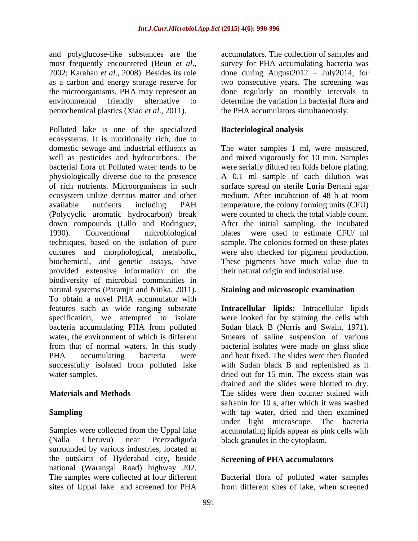and polyglucose-like substances are the accumulators. The collection of samples and most frequently encountered (Beun *et al*., 2002; Karahan *et al*., 2008). Besides its role as a carbon and energy storage reserve for two consecutive years. The screening was the microorganisms, PHA may represent an done regularly on monthly intervals to environmental friendly alternative to determine the variation in bacterial flora and petrochemical plastics (Xiao *et al*., 2011).

Polluted lake is one of the specialized ecosystems. It is nutritionally rich, due to domestic sewage and industrial effluents as The water samples 1 ml**,** were measured, well as pesticides and hydrocarbons. The and mixed vigorously for 10 min. Samples bacterial flora of Polluted water tends to be were serially diluted ten folds before plating. physiologically diverse due to the presence A 0.1 ml sample of each dilution was of rich nutrients. Microorganisms in such surface spread on sterile Luria Bertani agar ecosystem utilize detritus matter and other medium. After incubation of 48 h at room available nutrients including PAH temperature, the colony forming units (CFU) (Polycyclic aromatic hydrocarbon) break down compounds (Lillo and Rodriguez, 1990). Conventional microbiological plates were used to estimate CFU/ ml techniques, based on the isolation of pure sample. The colonies formed on these plates cultures and morphological, metabolic, were also checked for pigment production. biochemical, and genetic assays, have provided extensive information on the biodiversity of microbial communities in natural systems (Paramjit and Nitika, 2011). To obtain a novel PHA accumulator with features such as wide ranging substrate **Intracellular lipids:** Intracellular lipids specification, we attempted to isolate were looked for by staining the cells with bacteria accumulating PHA from polluted Sudan black B (Norris and Swain, 1971). water, the environment of which is different Smears of saline suspension of various from that of normal waters. In this study bacterial isolates were made on glass slide PHA accumulating bacteria were and heat fixed. The slides were then flooded successfully isolated from polluted lake

(Nalla Cheruvu) near Peerzadiguda black granules in the cytoplasm. surrounded by various industries, located at the outskirts of Hyderabad city, beside national (Warangal Road) highway 202. The samples were collected at four different Bacterial flora of polluted water samples sites of Uppal lake and screened for PHA

survey for PHA accumulating bacteria was done during August $2012 - \text{July}2014$ , for the PHA accumulators simultaneously.

### **Bacteriological analysis**

were counted to check the total viable count. After the initial sampling, the incubated These pigments have much value due to their natural origin and industrial use.

### **Staining and microscopic examination**

water samples. The excess stain was dried out for 15 min. The excess stain was **Materials and Methods** The slides were then counter stained with **Sampling** and the same with tap water, dried and then examined Samples were collected from the Uppal lake accumulating lipids appear as pink cells with with Sudan black B and replenished as it drained and the slides were blotted to dry. safranin for 10 s, after which it was washed under light microscope. The bacteria

### **Screening of PHA accumulators**

from different sites of lake, when screened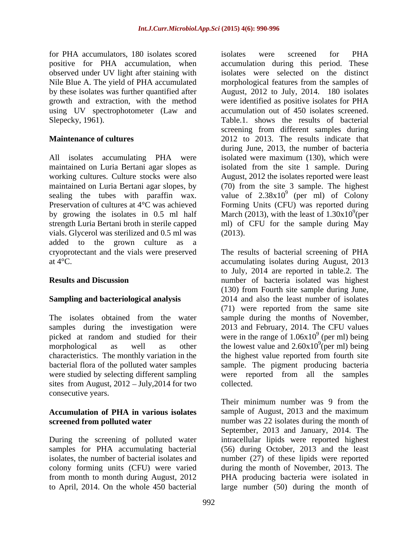for PHA accumulators, 180 isolates scored isolates were screened for PHA observed under UV light after staining with using UV spectrophotometer (Law and

vials. Glycerol was sterilized and 0.5 ml was (2013). added to the grown culture as a cryoprotectant and the vials were preserved The results of bacterial screening of PHA at 4°C. accumulating isolates during August, 2013

sites from August,  $2012 - July, 2014$  for two collected. consecutive years.

# **Accumulation of PHA in various isolates**

to April, 2014. On the whole 450 bacterial large number (50) during the month of

positive for PHA accumulation, when accumulation during this period. These Nile Blue A. The yield of PHA accumulated morphological features from the samples of by these isolates was further quantified after August, 2012 to July, 2014. 180 isolates growth and extraction, with the method were identified as positive isolates for PHA Slepecky, 1961). Table.1. shows the results of bacterial **Maintenance of cultures**  2012 to 2013. The results indicate that All isolates accumulating PHA were isolated were maximum (130), which were maintained on Luria Bertani agar slopes as isolated from the site 1 sample. During working cultures. Culture stocks were also August, 2012 the isolates reported were least maintained on Luria Bertani agar slopes, by (70) from the site 3 sample. The highest sealing the tubes with paraffin wax. value of  $2.38 \times 10^{9}$  (per ml) of Colony Preservation of cultures at 4°C was achieved Forming Units (CFU) was reported during by growing the isolates in 0.5 ml half March (2013), with the least of  $1.30x10^9$  (per strength Luria Bertani broth in sterile capped ml) of CFU for the sample during May isolates were screened for PHA isolates were selected on the distinct accumulation out of 450 isolates screened. screening from different samples during during June, 2013, the number of bacteria (per ml) of Colony  $9^{9}$ (per (2013).

**Results and Discussion** number of bacteria isolated was highest **Sampling and bacteriological analysis** 2014 and also the least number of isolates The isolates obtained from the water sample during the months of November, samples during the investigation were 2013 and February, 2014. The CFU values picked at random and studied for their were in the range of  $1.06x10^9$  (per ml) being morphological as well as other the lowest value and  $2.60x10^9$  (per ml) being characteristics. The monthly variation in the the highest value reported from fourth site bacterial flora of the polluted water samples sample. The pigment producing bacteria were studied by selecting different sampling were reported from all the samples to July, 2014 are reported in table.2. The (130) from Fourth site sample during June, (71) were reported from the same site  $9 \text{ (nor m1) } \text{ho}$ (per ml) being  $\frac{9}{2}$ (nor ml) hoing (per ml) being collected.

**screened from polluted water humber was 22 isolates during the month of** During the screening of polluted water intracellular lipids were reported highest samples for PHA accumulating bacterial (56) during October, 2013 and the least isolates, the number of bacterial isolates and number (27) of these lipids were reported colony forming units (CFU) were varied during the month of November, 2013. The from month to month during August, 2012 PHA producing bacteria were isolated in Their minimum number was 9 from the sample of August, 2013 and the maximum September, 2013 and January, 2014. The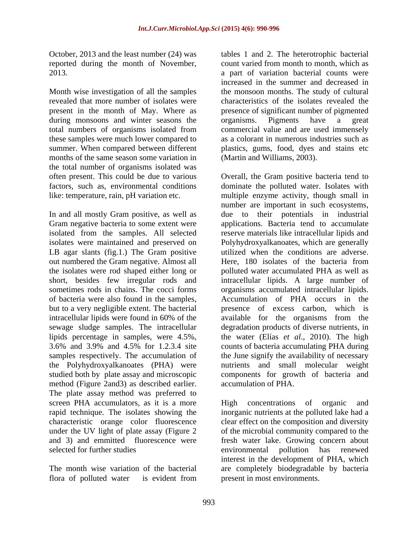October, 2013 and the least number (24) was tables 1 and 2. The heterotrophic bacterial reported during the month of November,

Month wise investigation of all the samples revealed that more number of isolates were present in the month of May. Where as during monsoons and winter seasons the organisms. Pigments have a great total numbers of organisms isolated from these samples were much lower compared to months of the same season some variation in the total number of organisms isolated was<br>often present. This could be due to various often present. This could be due to various Overall, the Gram positive bacteria tend to like: temperature, rain, pH variation etc.

In and all mostly Gram positive, as well as Gram negative bacteria to some extent were out numbered the Gram negative. Almost all **Here**, 180 isolates of the bacteria from the Polyhydroxyalkanoates (PHA) were method (Figure 2and3) as described earlier. The plate assay method was preferred to screen PHA accumulators, as it is a more high concentrations of organic and characteristic orange color fluorescence

flora of polluted water is evident from present in most environments.

2013. a part of variation bacterial counts were summer. When compared between different plastics, gums, food, dyes and stains etc count varied from month to month, which as increased in the summer and decreased in the monsoon months. The study of cultural characteristics of the isolates revealed the presence of significant number of pigmented organisms. Pigments have a great commercial value and are used immensely as a colorant in numerous industries such as (Martin and Williams, 2003).

factors, such as, environmental conditions dominate the polluted water. Isolates with isolated from the samples. All selected reserve materials like intracellular lipids and isolates were maintained and preserved on Polyhydroxyalkanoates, which are generally LB agar slants (fig.1.) The Gram positive utilized when the conditions are adverse. the isolates were rod shaped either long or polluted water accumulated PHA as well as short, besides few irregular rods and intracellular lipids. A large number of sometimes rods in chains. The cocci forms organisms accumulated intracellular lipids. of bacteria were also found in the samples, Accumulation of PHA occurs in the but to a very negligible extent. The bacterial presence of excess carbon, which is intracellular lipids were found in 60% of the available for the organisms from the sewage sludge samples. The intracellular degradation products of diverse nutrients, in lipids percentage in samples, were 4.5%, the water (Elías *et al*., 2010). The high 3.6% and 3.9% and 4.5% for 1.2.3.4 site counts of bacteria accumulating PHA during samples respectively. The accumulation of the June signify the availability of necessary studied both by plate assay and microscopic components for growth of bacteria and multiple enzyme activity, though small in number are important in such ecosystems, due to their potentials in industrial applications. Bacteria tend to accumulate Here, 180 isolates of the bacteria from nutrients and small molecular weight accumulation of PHA.

rapid technique. The isolates showing the inorganic nutrients at the polluted lake had a under the UV light of plate assay (Figure 2 of themicrobial community compared to the and 3) and emmitted fluorescence were fresh water lake. Growing concern about selected for further studies environmental pollution has renewed The month wise variation of the bacterial are completely biodegradable by bacteria High concentrations of organic and clear effect on the composition and diversity environmental pollution has renewed interest in the development of PHA, which present in most environments.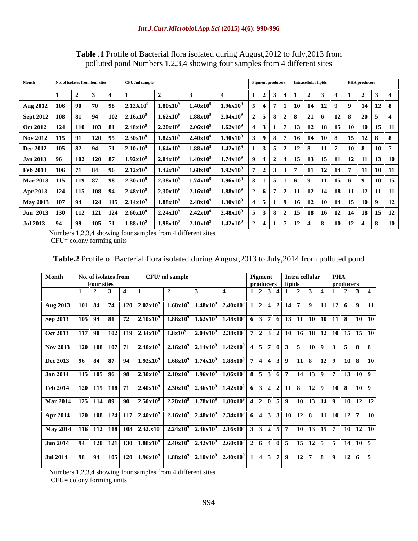| Month                                   | No. of isolates from four sites<br>Intracellular lipids<br>CFU /ml sample<br><b>Pigment producers</b> |                      |                                                         |                      |  |               |                      |               | <b>PHA</b> producers                                            |                             |                                                                  |                |                                           |
|-----------------------------------------|-------------------------------------------------------------------------------------------------------|----------------------|---------------------------------------------------------|----------------------|--|---------------|----------------------|---------------|-----------------------------------------------------------------|-----------------------------|------------------------------------------------------------------|----------------|-------------------------------------------|
|                                         |                                                                                                       | $\blacksquare$       |                                                         |                      |  |               |                      | 21314         | $\sqrt{2}$                                                      |                             |                                                                  |                |                                           |
| Aug 2012   106                          |                                                                                                       | $90 \mid 70 \mid 98$ | $2.12X10^{9}$                                           | $1.80x10^{9}$        |  | $1.40x10^{9}$ | $1.96x10^{9}$        |               | $1 \mid 10 \mid 14 \mid$                                        |                             |                                                                  | $\overline{9}$ | $14$ 12 8                                 |
| Sept 2012   108   81                    |                                                                                                       | $\vert$ 94           | $2.16x10^{9}$<br>$\vert$ 102                            | 1.62x10 <sup>9</sup> |  | $1.88x10^9$   | $2.04x10^{9}$        | 828           | $\sqrt{21}$                                                     |                             | $\begin{array}{ c c c c c } \hline 12 & 8 \\ \hline \end{array}$ |                | $20 \mid 5 \mid 4$                        |
| $\vert$ Oct 2012   124   110   103   81 |                                                                                                       |                      | 2.48 $x10^9$                                            | $2.20x10^{9}$        |  | $2.06x10^9$   | $1.62x10^{9}$        |               | $13 \mid 12 \mid 18 \mid 15 \mid 10$                            |                             |                                                                  | 10             | 15                                        |
| Nov 2012   115   91                     |                                                                                                       | 120 95               | $2.30x10^9$                                             | $1.82 \times 10^{9}$ |  | $2.40x10^9$   | $1.90x10^{9}$        |               |                                                                 |                             |                                                                  |                | $\mid$ 16   14   10   8   15   12   8   8 |
| Dec 2012 105                            | 82 94                                                                                                 |                      | $2.10x10^9$                                             | $1.64x10^{9}$        |  | $1.88x10^{9}$ | $1.42x10^{9}$        |               | $12 \mid 8$                                                     |                             |                                                                  | <b>10</b>      |                                           |
| $Jan 2013$ 96                           |                                                                                                       | $102$ 120 87         | 1.92x10 <sup>9</sup>                                    | 2.04x10 <sup>9</sup> |  | $1.40x10^9$   | $1.74 \times 10^9$   |               | $15 \mid 13$                                                    | $15 \mid 11$                |                                                                  | $12$   $11$    | $\vert 13 \vert 10 \vert$                 |
| Feb 2013   106                          | 71 84                                                                                                 | $\overline{96}$      | $2.12x10^9$                                             | $1.42 \times 10^{9}$ |  | $1.68x10^{9}$ | $1.92x10^9$          | 2   3   3   7 |                                                                 | $11 \mid 12 \mid 14 \mid 7$ |                                                                  |                | $\vert 11 \vert 10 \vert$<br>  11         |
| Mar 2013   115   119   87   98          |                                                                                                       |                      | $2.30x10^{9}$                                           | $2.38x10^9$          |  | $1.74x10^{9}$ | $1.96x10^{9}$        | 15116         |                                                                 |                             | $11 \mid 15 \mid 6$                                              |                | 15                                        |
| Apr 2013   124   115   108   94         |                                                                                                       |                      | $2.48x10^{9}$                                           | $2.30x10^{9}$        |  | $2.16x10^{9}$ | $1.88x10^{9}$        |               | $11 \mid 12 \mid 14 \mid 18 \mid 1$                             |                             |                                                                  |                | $12 \mid 11$                              |
| May 2013 107                            | $94$   124                                                                                            |                      | $115 \mid 2.14 \mathrm{x} 10^9$                         | $1.88x10^{9}$        |  | $2.48x10^{9}$ | $1.30x10^{9}$        |               | $1 \mid 9 \mid 16 \mid 12 \mid 10 \mid 14 \mid 15 \mid 10 \mid$ |                             |                                                                  |                | 12                                        |
|                                         |                                                                                                       |                      | Jun 2013   130   112   121   124   2.60x10 <sup>9</sup> | $2.24x10^9$          |  | $2.42x10^9$   | $2.48x10^{9}$        |               | 15   18   16   12   14   18                                     |                             |                                                                  |                | 15 <sup>1</sup>                           |
| Jul 2013   94                           | $\begin{array}{c} \hline \end{array}$                                                                 | 105 71               | $1.88x10^{9}$                                           | $1.98x10^{9}$        |  | $2.10x10^9$   | $1.42 \times 10^{9}$ |               |                                                                 |                             |                                                                  |                |                                           |

**Table .1** Profile of Bacterial flora isolated during August,2012 to July,2013 from polluted pond Numbers 1,2,3,4 showing four samples from 4 different sites

| <b>Table.2</b> Profile of Bacterial flora isolated during August.2<br>$2013 \text{ ft}$<br>$\sim$ 2014 from pole.<br>ao July 1<br>nolluted pond<br>- 77 |  |
|---------------------------------------------------------------------------------------------------------------------------------------------------------|--|
|---------------------------------------------------------------------------------------------------------------------------------------------------------|--|

| Month                | No. of isolates from four sites |          |                           | <b>CFU</b> /ml sample                 |                      |                                                             |                                                                                                                                                                                  |                   | Pigment producers Intracellular lipids                                           |                                                                                  |             |           | <b>PHA</b> producers                                                  |  |
|----------------------|---------------------------------|----------|---------------------------|---------------------------------------|----------------------|-------------------------------------------------------------|----------------------------------------------------------------------------------------------------------------------------------------------------------------------------------|-------------------|----------------------------------------------------------------------------------|----------------------------------------------------------------------------------|-------------|-----------|-----------------------------------------------------------------------|--|
|                      |                                 |          |                           |                                       |                      |                                                             |                                                                                                                                                                                  |                   |                                                                                  |                                                                                  | 3 4         |           | $\begin{array}{ c c c c c c } \hline 2 & 3 & 4 \\ \hline \end{array}$ |  |
| Aug 2012 106         |                                 | 70<br>90 | 98                        | $2.12X10^{9}$                         | $1.80x10^{9}$        | $1.40x10^{9}$                                               | $1.96x10^{9}$                                                                                                                                                                    |                   | 4 7 1 10 14 12 9 9 14 12 8                                                       |                                                                                  |             |           |                                                                       |  |
| Sept 2012   108      |                                 | 81       | 94                        | $102 \,   \, 2.16 \mathrm{x} 10^9$    | 1.62x10 <sup>9</sup> | $1.88\times10^{9}$                                          | $2.04x10^{9}$                                                                                                                                                                    |                   | 2   5   8   2   8   21   6                                                       |                                                                                  |             |           | $12 \mid 8 \mid 20 \mid 5 \mid 4$                                     |  |
| Oct 2012 124         |                                 |          | 110 103 81                | $2.48x10^{9}$                         | $2.20x10^{9}$        | $2.06x10^{9}$                                               | $1.62x10^{9}$                                                                                                                                                                    | $4 \mid 3 \mid 1$ |                                                                                  | 7   13   12   18   15   10   10   15   11                                        |             |           |                                                                       |  |
| Nov 2012   115   91  |                                 |          |                           | 120   95   $2.30x10^9$                | $1.82x10^9$          | $2.40x10^{9}$                                               | $1.90x10^{9}$                                                                                                                                                                    |                   | 39871614108151288                                                                |                                                                                  |             |           |                                                                       |  |
| <b>Dec 2012</b>      | 105                             | 94<br>82 | - 71                      | $2.10x10^{9}$                         | $1.64x10^{9}$        | $1.88x10^{9}$                                               | $1.42x10^9$                                                                                                                                                                      |                   | $3 \mid 5 \mid 2 \mid 12 \mid 8$                                                 |                                                                                  | $11 \mid 7$ |           | 108107                                                                |  |
| Jan 2013 $\Big $ 96  |                                 |          | 102 120 87                | 1.92x10 <sup>9</sup>                  | $2.04x10^9$          | 1.40x10 <sup>9</sup>                                        | $1.74x10^{9}$   9   4   2   4   15   13   15   11   12   11   13   10                                                                                                            |                   |                                                                                  |                                                                                  |             |           |                                                                       |  |
| Feb 2013 $\vert$ 106 |                                 |          |                           | 71   84   96   $2.12 \times 10^9$     | $1.42x10^9$          | $1.68x10^{9}$                                               | $1.92 \times 10^{9}$   7   2   3   3   7   11   12   14   7   11   10   11                                                                                                       |                   |                                                                                  |                                                                                  |             |           |                                                                       |  |
| Mar 2013 115         |                                 | 119 87   | 98                        | $2.30x10^{9}$                         | $2.38x10^{9}$        | $1.74x10^{9}$                                               | $1.96x10^{9}$                                                                                                                                                                    |                   | $\sim$                                                                           |                                                                                  |             |           |                                                                       |  |
| Apr 2013 124         |                                 |          |                           | $115 \mid 108 \mid 94 \mid 2.48x10^9$ | $2.30x10^{9}$        | $2.16x10^{9}$                                               | $1.88x10^{9}$                                                                                                                                                                    |                   | 2   6   7   2   11   12   14   18   11   12   11   11                            |                                                                                  |             |           |                                                                       |  |
| May 2013 107         |                                 | 94       |                           | $124$   115   2.14x10 <sup>9</sup>    | $1.88\textrm{x}10^9$ | $2.48x10^9$                                                 | $1.30x10^{9}$                                                                                                                                                                    |                   |                                                                                  | $\vert 9 \vert 16 \vert 12 \vert 10 \vert 14 \vert 15 \vert 10 \vert 9 \vert 12$ |             |           |                                                                       |  |
| Jun 2013 130         |                                 | 112      |                           | $121$ 124 2.60x10 <sup>9</sup>        |                      |                                                             | $\mid 2.24 \times 10^{9} \mid 2.42 \times 10^{9} \mid 2.48 \times 10^{9} \mid 5 \mid 3 \mid 8 \mid 2 \mid 15 \mid 18 \mid 16 \mid 12 \mid 14 \mid 18 \mid 15 \mid 12$            |                   |                                                                                  |                                                                                  |             |           |                                                                       |  |
| <b>Jul 2013</b>      | 94                              |          | $99 \mid 105 \mid 71$     | $1.88x10^{9}$                         |                      | $1.98x10^{9}$ 2.10x10 <sup>9</sup>                          | $1.42x10^{9}$                                                                                                                                                                    |                   |                                                                                  |                                                                                  |             |           |                                                                       |  |
|                      |                                 |          | CFU= colony forming units |                                       |                      | Numbers 1,2,3,4 showing four samples from 4 different sites | Table.2 Profile of Bacterial flora isolated during August, 2013 to July, 2014 from polluted pond                                                                                 |                   |                                                                                  |                                                                                  |             |           |                                                                       |  |
|                      | Month                           |          | No. of isolates from      |                                       | CFU/ ml sample       |                                                             |                                                                                                                                                                                  | Pigment           |                                                                                  | Intra cellular                                                                   | <b>PHA</b>  |           |                                                                       |  |
|                      |                                 |          | <b>Four sites</b>         | $1 \t1 \t2 \t13 \t14 \t11$            |                      |                                                             |                                                                                                                                                                                  | producers         | $1 \mid 2 \mid 3 \mid 4 \mid 1 \mid 2 \mid 3 \mid 4 \mid 1 \mid 2 \mid 3 \mid 4$ | lipids                                                                           |             | producers |                                                                       |  |
|                      |                                 |          |                           |                                       |                      |                                                             |                                                                                                                                                                                  |                   |                                                                                  |                                                                                  |             |           |                                                                       |  |
|                      |                                 |          |                           |                                       |                      |                                                             | Aug 2013   101   84   74   120   2.02x10 <sup>9</sup>   1.68x10 <sup>9</sup>   1.48x10 <sup>9</sup>   2.40x10 <sup>9</sup>   1   2   4   2   14   7   9   11   12   6   9   11   |                   |                                                                                  |                                                                                  |             |           |                                                                       |  |
|                      | Sep 2013                        |          |                           |                                       |                      |                                                             | $105$ 94 81 72 2.10x10 <sup>9</sup> 1.88x10 <sup>9</sup> 1.62x10 <sup>9</sup> 1.48x10 <sup>9</sup> 6 3 7 6 13 11 10 10 11 8 10 10                                                |                   |                                                                                  |                                                                                  |             |           |                                                                       |  |
|                      | <b>Oct 2013</b>                 |          |                           |                                       |                      |                                                             | 117   90   102   119   2.34x10 <sup>9</sup>   1.8x10 <sup>9</sup>   2.04x10 <sup>9</sup>   2.38x10 <sup>9</sup>   7   2   3   2   10   16   18   12   10   15   15   10          |                   |                                                                                  |                                                                                  |             |           |                                                                       |  |
|                      | <b>Nov 2013</b>                 |          |                           |                                       |                      |                                                             | 120   108   107   71   2.40 $\overline{x10^9}$   2.16 $\overline{x10^9}$   2.14 $\overline{x10^9}$   1.42 $\overline{x10^9}$   4   5   7   0   3   5   10   9   3   5   8   8    |                   |                                                                                  |                                                                                  |             |           |                                                                       |  |
|                      |                                 |          |                           |                                       |                      |                                                             |                                                                                                                                                                                  |                   |                                                                                  |                                                                                  |             |           |                                                                       |  |
|                      |                                 |          |                           |                                       |                      |                                                             | Dec 2013   96   84   87   94   1.92x10 <sup>9</sup>   1.68x10 <sup>9</sup>   1.74x10 <sup>9</sup>   1.88x10 <sup>9</sup>   7   4   4   3   9   11   8   12   9   10   8   10     |                   |                                                                                  |                                                                                  |             |           |                                                                       |  |
|                      | <b>Jan 2014</b>                 |          |                           |                                       |                      |                                                             | 115   105   96   98   2.30x10 <sup>9</sup>   2.10x10 <sup>9</sup>   1.96x10 <sup>9</sup>   1.06x10 <sup>9</sup>   8   5   3   6   7   14   13   9   7   13   10   9              |                   |                                                                                  |                                                                                  |             |           |                                                                       |  |
|                      |                                 |          |                           |                                       |                      |                                                             | Feb 2014 120 115 118 71 2.40x10 <sup>9</sup> 2.30x10 <sup>9</sup> 2.36x10 <sup>9</sup> 1.42x10 <sup>9</sup> 6 3 2 2 11 8 12 9 10 8 10 9                                          |                   |                                                                                  |                                                                                  |             |           |                                                                       |  |
|                      |                                 |          |                           |                                       |                      |                                                             | Mar 2014   125   114   89   90   2.50x10 <sup>9</sup>   2.28x10 <sup>9</sup>   1.78x10 <sup>9</sup>   1.80x10 <sup>9</sup>   4   2   0   5   9   10   13   14   9   10   12   12 |                   |                                                                                  |                                                                                  |             |           |                                                                       |  |
|                      |                                 |          |                           |                                       |                      |                                                             | Apr 2014 120 108 124 117 2.40x10 <sup>9</sup> 2.16x10 <sup>9</sup> 2.48x10 <sup>9</sup> 2.34x10 <sup>9</sup> 6 4 3 3 10 12 8 11 10 12 7 10                                       |                   |                                                                                  |                                                                                  |             |           |                                                                       |  |
|                      |                                 |          |                           |                                       |                      |                                                             |                                                                                                                                                                                  |                   |                                                                                  |                                                                                  |             |           |                                                                       |  |
|                      |                                 |          |                           |                                       |                      |                                                             | May 2014 116 112 118 108 2.32x10 <sup>9</sup> 2.24x10 <sup>9</sup> 2.36x10 <sup>9</sup> 2.16x10 <sup>9</sup> 3 3 2 5 7 10 13 15 7 10 12 10                                       |                   |                                                                                  |                                                                                  |             |           |                                                                       |  |
|                      |                                 |          |                           |                                       |                      |                                                             | Jun 2014   94   120   121   130   1.88x10 <sup>9</sup>   2.40x10 <sup>9</sup>   2.42x10 <sup>9</sup>   2.60x10 <sup>9</sup>   2   6   4   0   5   15   12   5   5   14   10   5  |                   |                                                                                  |                                                                                  |             |           |                                                                       |  |
|                      |                                 |          |                           |                                       |                      |                                                             | Jul 2014 98 94 105 120 1.96x10 <sup>9</sup> 1.88x10 <sup>9</sup> 2.10x10 <sup>9</sup> 2.40x10 <sup>9</sup> 1 4 5 7 9 12 7 8 9 12 6 5                                             |                   |                                                                                  |                                                                                  |             |           |                                                                       |  |
|                      |                                 |          |                           |                                       |                      |                                                             |                                                                                                                                                                                  |                   |                                                                                  |                                                                                  |             |           |                                                                       |  |
|                      |                                 |          |                           |                                       |                      | Numbers 1,2,3,4 showing four samples from 4 different sites |                                                                                                                                                                                  |                   |                                                                                  |                                                                                  |             |           |                                                                       |  |
|                      |                                 |          | CFU= colony forming units |                                       |                      |                                                             |                                                                                                                                                                                  |                   |                                                                                  |                                                                                  |             |           |                                                                       |  |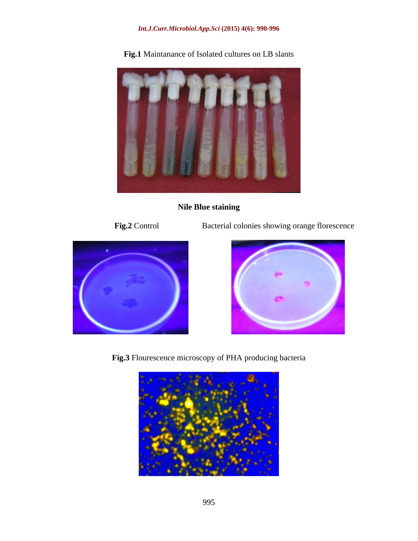### *Int.J.Curr.Microbiol.App.Sci* **(2015) 4(6): 990-996**



**Fig.1** Maintanance of Isolated cultures on LB slants

### **Nile Blue staining**

**Fig.2** Control Bacterial colonies showing orange florescence





**Fig.3** Flourescence microscopy of PHA producing bacteria